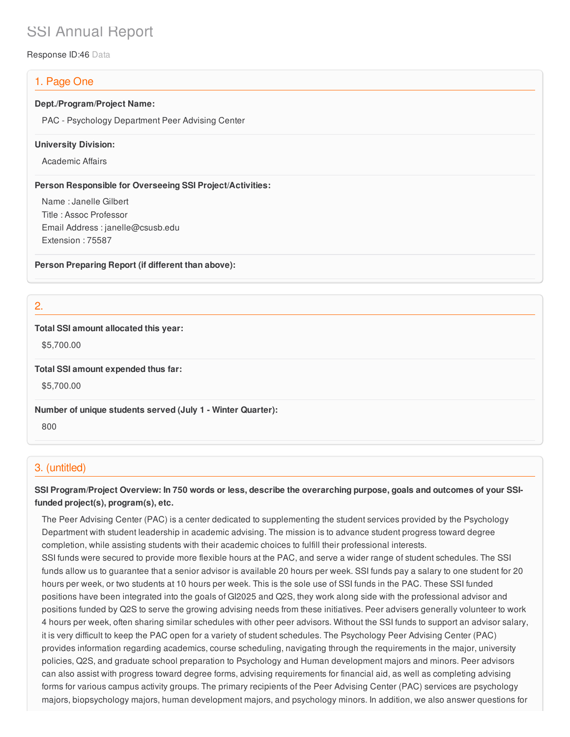# SSI Annual Report

Response ID:46 Data

# 1. Page One

#### **Dept./Program/Project Name:**

PAC - Psychology Department Peer Advising Center

#### **University Division:**

Academic Affairs

#### **Person Responsible for Overseeing SSI Project/Activities:**

Name : Janelle Gilbert Title : Assoc Professor Email Address : janelle@csusb.edu Extension : 75587

**Person Preparing Report (if different than above):**

2.

#### **Total SSI amount allocated this year:**

\$5,700.00

**Total SSI amount expended thus far:**

\$5,700.00

**Number of unique students served (July 1 - Winter Quarter):**

800

## 3. (untitled)

## SSI Program/Project Overview: In 750 words or less, describe the overarching purpose, goals and outcomes of your SSI**funded project(s), program(s), etc.**

The Peer Advising Center (PAC) is a center dedicated to supplementing the student services provided by the Psychology Department with student leadership in academic advising. The mission is to advance student progress toward degree completion, while assisting students with their academic choices to fulfill their professional interests.

SSI funds were secured to provide more flexible hours at the PAC, and serve a wider range of student schedules. The SSI funds allow us to guarantee that a senior advisor is available 20 hours per week. SSI funds pay a salary to one student for 20 hours per week, or two students at 10 hours per week. This is the sole use of SSI funds in the PAC. These SSI funded positions have been integrated into the goals of GI2025 and Q2S, they work along side with the professional advisor and positions funded by Q2S to serve the growing advising needs from these initiatives. Peer advisers generally volunteer to work 4 hours per week, often sharing similar schedules with other peer advisors. Without the SSI funds to support an advisor salary, it is very difficult to keep the PAC open for a variety of student schedules. The Psychology Peer Advising Center (PAC) provides information regarding academics, course scheduling, navigating through the requirements in the major, university policies, Q2S, and graduate school preparation to Psychology and Human development majors and minors. Peer advisors can also assist with progress toward degree forms, advising requirements for financial aid, as well as completing advising forms for various campus activity groups. The primary recipients of the Peer Advising Center (PAC) services are psychology majors, biopsychology majors, human development majors, and psychology minors. In addition, we also answer questions for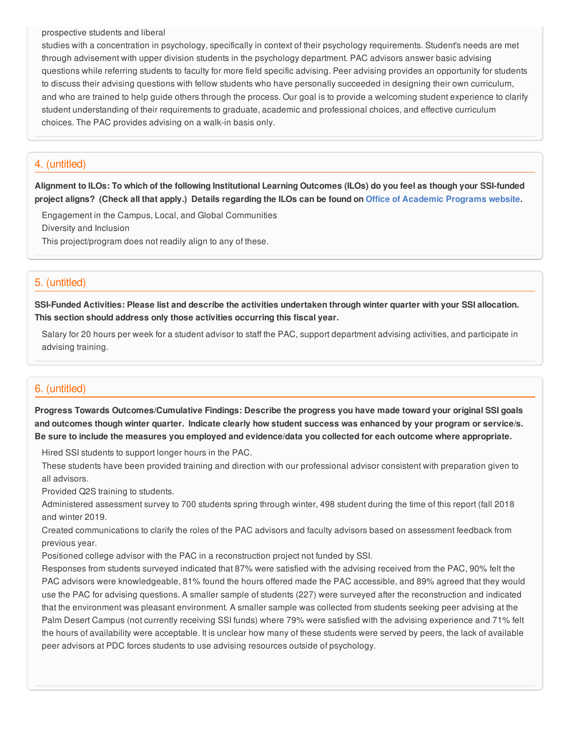#### prospective students and liberal

studies with a concentration in psychology, specifically in context of their psychology requirements. Student's needs are met through advisement with upper division students in the psychology department. PAC advisors answer basic advising questions while referring students to faculty for more field specific advising. Peer advising provides an opportunity for students to discuss their advising questions with fellow students who have personally succeeded in designing their own curriculum, and who are trained to help guide others through the process. Our goal is to provide a welcoming student experience to clarify student understanding of their requirements to graduate, academic and professional choices, and effective curriculum choices. The PAC provides advising on a walk-in basis only.

## 4. (untitled)

Alignment to ILOs: To which of the following Institutional Learning Outcomes (ILOs) do you feel as though your SSI-funded project aligns? (Check all that apply.) Details regarding the ILOs can be found on Office of [Academic](https://www.csusb.edu/sites/csusb/files/CSUSB_Institutional_Learning_Outcomes-Endorsed.pdf) Programs website.

Engagement in the Campus, Local, and Global Communities Diversity and Inclusion This project/program does not readily align to any of these.

### 5. (untitled)

SSI-Funded Activities: Please list and describe the activities undertaken through winter quarter with your SSI allocation. **This section should address only those activities occurring this fiscal year.**

Salary for 20 hours per week for a student advisor to staff the PAC, support department advising activities, and participate in advising training.

## 6. (untitled)

**Progress Towards Outcomes/Cumulative Findings: Describe the progress you have made toward your original SSI goals** and outcomes though winter quarter. Indicate clearly how student success was enhanced by your program or service/s. Be sure to include the measures you employed and evidence/data you collected for each outcome where appropriate.

Hired SSI students to support longer hours in the PAC.

These students have been provided training and direction with our professional advisor consistent with preparation given to all advisors.

Provided Q2S training to students.

Administered assessment survey to 700 students spring through winter, 498 student during the time of this report (fall 2018 and winter 2019.

Created communications to clarify the roles of the PAC advisors and faculty advisors based on assessment feedback from previous year.

Positioned college advisor with the PAC in a reconstruction project not funded by SSI.

Responses from students surveyed indicated that 87% were satisfied with the advising received from the PAC, 90% felt the PAC advisors were knowledgeable, 81% found the hours offered made the PAC accessible, and 89% agreed that they would use the PAC for advising questions. A smaller sample of students (227) were surveyed after the reconstruction and indicated that the environment was pleasant environment. A smaller sample was collected from students seeking peer advising at the Palm Desert Campus (not currently receiving SSI funds) where 79% were satisfied with the advising experience and 71% felt the hours of availability were acceptable. It is unclear how many of these students were served by peers, the lack of available peer advisors at PDC forces students to use advising resources outside of psychology.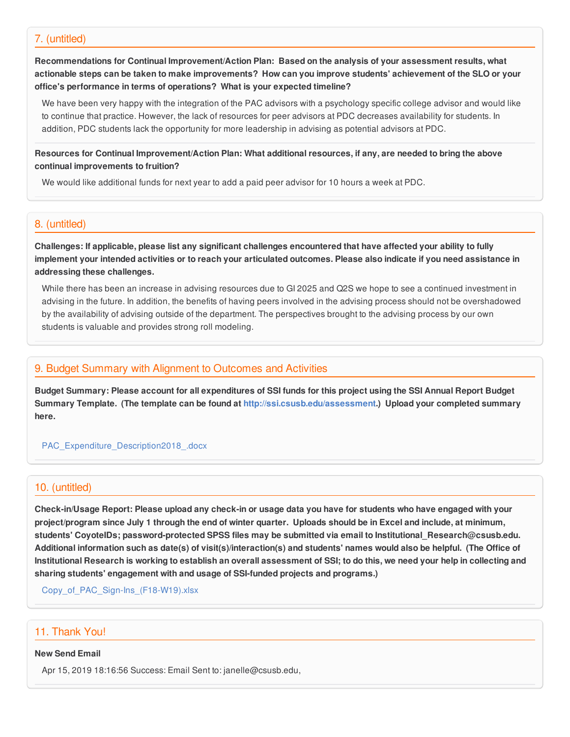#### 7. (untitled)

**Recommendations for Continual Improvement/Action Plan: Based on the analysis of your assessment results, what** actionable steps can be taken to make improvements? How can you improve students' achievement of the SLO or your **office's performance in terms of operations? What is your expected timeline?**

We have been very happy with the integration of the PAC advisors with a psychology specific college advisor and would like to continue that practice. However, the lack of resources for peer advisors at PDC decreases availability for students. In addition, PDC students lack the opportunity for more leadership in advising as potential advisors at PDC.

Resources for Continual Improvement/Action Plan: What additional resources, if any, are needed to bring the above **continual improvements to fruition?**

We would like additional funds for next year to add a paid peer advisor for 10 hours a week at PDC.

#### 8. (untitled)

Challenges: If applicable, please list any significant challenges encountered that have affected your ability to fully implement your intended activities or to reach your articulated outcomes. Please also indicate if you need assistance in **addressing these challenges.**

While there has been an increase in advising resources due to GI 2025 and Q2S we hope to see a continued investment in advising in the future. In addition, the benefits of having peers involved in the advising process should not be overshadowed by the availability of advising outside of the department. The perspectives brought to the advising process by our own students is valuable and provides strong roll modeling.

## 9. Budget Summary with Alignment to Outcomes and Activities

Budget Summary: Please account for all expenditures of SSI funds for this project using the SSI Annual Report Budget **Summary Template. (The template can be found at <http://ssi.csusb.edu/assessment>.) Upload your completed summary here.**

#### [PAC\\_Expenditure\\_Description2018\\_.docx](https://surveygizmoresponseuploads.s3.amazonaws.com/fileuploads/98679/3939151/160-40d5ac1b2cff24631862ef4db11111c3_PAC_Expenditure_Description2018_.docx)

#### 10. (untitled)

Check-in/Usage Report: Please upload any check-in or usage data you have for students who have engaged with your project/program since July 1 through the end of winter quarter. Uploads should be in Excel and include, at minimum, **students' CoyoteIDs; password-protected SPSS files may be submitted via email to Institutional\_Research@csusb.edu.** Additional information such as date(s) of visit(s)/interaction(s) and students' names would also be helpful. (The Office of Institutional Research is working to establish an overall assessment of SSI; to do this, we need your help in collecting and **sharing students' engagement with and usage of SSI-funded projects and programs.)**

Copy of PAC Sign-Ins (F18-W19).xlsx

## 11. Thank You!

#### **New Send Email**

Apr 15, 2019 18:16:56 Success: Email Sent to: janelle@csusb.edu,